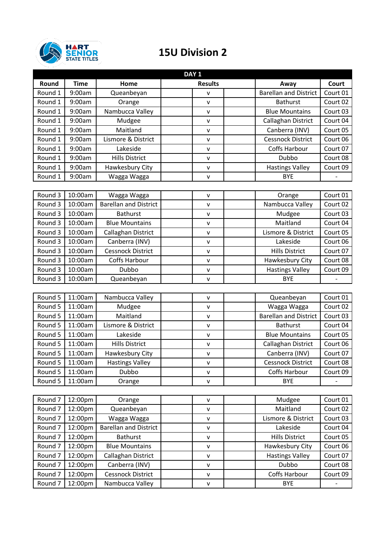

## **15U Division 2**

| DAY <sub>1</sub>   |             |                              |  |                |  |                              |              |
|--------------------|-------------|------------------------------|--|----------------|--|------------------------------|--------------|
| Round              | <b>Time</b> | Home                         |  | <b>Results</b> |  | Away                         | <b>Court</b> |
| Round 1            | 9:00am      | Queanbeyan                   |  | ٧              |  | <b>Barellan and District</b> | Court 01     |
| Round 1            | 9:00am      | Orange                       |  | v              |  | <b>Bathurst</b>              | Court 02     |
| Round 1            | 9:00am      | Nambucca Valley              |  | v              |  | <b>Blue Mountains</b>        | Court 03     |
| Round 1            | 9:00am      | Mudgee                       |  | $\mathsf{V}$   |  | Callaghan District           | Court 04     |
| Round 1            | 9:00am      | Maitland                     |  | $\mathsf{V}$   |  | Canberra (INV)               | Court 05     |
| Round 1            | 9:00am      | Lismore & District           |  | $\mathsf{V}$   |  | <b>Cessnock District</b>     | Court 06     |
| Round 1            | 9:00am      | Lakeside                     |  | $\mathsf{V}$   |  | Coffs Harbour                | Court 07     |
| Round 1            | 9:00am      | <b>Hills District</b>        |  | v              |  | Dubbo                        | Court 08     |
| Round 1            | 9:00am      | Hawkesbury City              |  | V              |  | <b>Hastings Valley</b>       | Court 09     |
| Round 1            | 9:00am      | Wagga Wagga                  |  | v              |  | <b>BYE</b>                   |              |
|                    |             |                              |  |                |  |                              |              |
| Round 3            | 10:00am     | Wagga Wagga                  |  | $\mathsf{V}$   |  | Orange                       | Court 01     |
| Round 3            | 10:00am     | <b>Barellan and District</b> |  | v              |  | Nambucca Valley              | Court 02     |
| Round 3            | 10:00am     | <b>Bathurst</b>              |  | v              |  | Mudgee                       | Court 03     |
| Round 3            | 10:00am     | <b>Blue Mountains</b>        |  | $\mathsf{V}$   |  | Maitland                     | Court 04     |
| Round 3            | 10:00am     | Callaghan District           |  | $\mathsf{V}$   |  | Lismore & District           | Court 05     |
| Round 3            | 10:00am     | Canberra (INV)               |  | v              |  | Lakeside                     | Court 06     |
| Round 3            | 10:00am     | <b>Cessnock District</b>     |  | V              |  | <b>Hills District</b>        | Court 07     |
| Round 3            | 10:00am     | Coffs Harbour                |  | $\mathsf{V}$   |  | Hawkesbury City              | Court 08     |
| Round 3            | 10:00am     | Dubbo                        |  | $\mathsf{V}$   |  | <b>Hastings Valley</b>       | Court 09     |
| Round 3            | 10:00am     | Queanbeyan                   |  | v              |  | <b>BYE</b>                   |              |
|                    |             |                              |  |                |  |                              |              |
| Round 5            | 11:00am     | Nambucca Valley              |  | $\mathsf{V}$   |  | Queanbeyan                   | Court 01     |
| Round 5            | 11:00am     | Mudgee                       |  | v              |  | Wagga Wagga                  | Court 02     |
| Round 5            | 11:00am     | Maitland                     |  | v              |  | <b>Barellan and District</b> | Court 03     |
| Round 5            | 11:00am     | Lismore & District           |  | $\mathsf{V}$   |  | <b>Bathurst</b>              | Court 04     |
| Round 5            | 11:00am     | Lakeside                     |  | $\mathsf{V}$   |  | <b>Blue Mountains</b>        | Court 05     |
| Round 5            | 11:00am     | <b>Hills District</b>        |  | $\mathsf{V}$   |  | Callaghan District           | Court 06     |
| Round 5            | 11:00am     | Hawkesbury City              |  | $\mathsf{V}$   |  | Canberra (INV)               | Court 07     |
| Round 5            | 11:00am     | <b>Hastings Valley</b>       |  | ۷              |  | Cessnock District            | Court 08     |
| Round 5            | 11:00am     | Dubbo                        |  | v              |  | Coffs Harbour                | Court 09     |
| Round 5            | 11:00am     | Orange                       |  | v              |  | <b>BYE</b>                   |              |
|                    |             |                              |  |                |  |                              |              |
| Round <sub>7</sub> | 12:00pm     | Orange                       |  | v              |  | Mudgee                       | Court 01     |
| Round <sub>7</sub> | 12:00pm     | Queanbeyan                   |  | v              |  | Maitland                     | Court 02     |
| Round <sub>7</sub> | 12:00pm     | Wagga Wagga                  |  | v              |  | Lismore & District           | Court 03     |
| Round <sub>7</sub> | 12:00pm     | <b>Barellan and District</b> |  | $\mathsf{V}$   |  | Lakeside                     | Court 04     |
| Round <sub>7</sub> | 12:00pm     | <b>Bathurst</b>              |  | V              |  | <b>Hills District</b>        | Court 05     |
| Round <sub>7</sub> | 12:00pm     | <b>Blue Mountains</b>        |  | $\mathsf{V}$   |  | Hawkesbury City              | Court 06     |
| Round <sub>7</sub> | 12:00pm     | Callaghan District           |  | v              |  | <b>Hastings Valley</b>       | Court 07     |
| Round <sub>7</sub> | 12:00pm     | Canberra (INV)               |  | $\mathsf{V}$   |  | Dubbo                        | Court 08     |
| Round <sub>7</sub> | 12:00pm     | Cessnock District            |  | $\mathsf{V}$   |  | Coffs Harbour                | Court 09     |
| Round <sub>7</sub> | 12:00pm     | Nambucca Valley              |  | V              |  | <b>BYE</b>                   |              |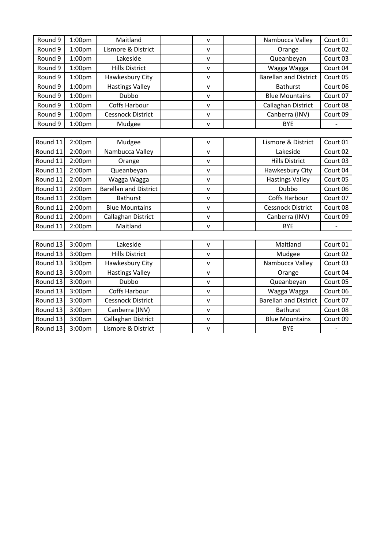| Round 9  | 1:00 <sub>pm</sub> | Maitland                     | $\mathsf{v}$ | Nambucca Valley              | Court 01 |
|----------|--------------------|------------------------------|--------------|------------------------------|----------|
| Round 9  | 1:00 <sub>pm</sub> | Lismore & District           | V            | Orange                       | Court 02 |
| Round 9  | 1:00 <sub>pm</sub> | Lakeside                     | $\mathsf{V}$ | Queanbeyan                   | Court 03 |
| Round 9  | 1:00 <sub>pm</sub> | <b>Hills District</b>        | $\mathsf{v}$ | Wagga Wagga                  | Court 04 |
| Round 9  | 1:00pm             | Hawkesbury City              | $\mathsf{V}$ | <b>Barellan and District</b> | Court 05 |
| Round 9  | 1:00 <sub>pm</sub> | <b>Hastings Valley</b>       | $\mathsf{V}$ | <b>Bathurst</b>              | Court 06 |
| Round 9  | 1:00 <sub>pm</sub> | Dubbo                        | $\mathsf{v}$ | <b>Blue Mountains</b>        | Court 07 |
| Round 9  | 1:00 <sub>pm</sub> | Coffs Harbour                | $\mathsf{V}$ | Callaghan District           | Court 08 |
| Round 9  | 1:00pm             | <b>Cessnock District</b>     | $\mathsf{v}$ | Canberra (INV)               | Court 09 |
| Round 9  | 1:00pm             | Mudgee                       | $\mathsf{v}$ | <b>BYE</b>                   |          |
|          |                    |                              |              |                              |          |
| Round 11 | 2:00 <sub>pm</sub> | Mudgee                       | $\mathsf{v}$ | Lismore & District           | Court 01 |
| Round 11 | 2:00 <sub>pm</sub> | Nambucca Valley              | $\mathsf{V}$ | Lakeside                     | Court 02 |
| Round 11 | 2:00 <sub>pm</sub> | Orange                       | $\mathsf{v}$ | <b>Hills District</b>        | Court 03 |
| Round 11 | 2:00 <sub>pm</sub> | Queanbeyan                   | $\mathsf{V}$ | Hawkesbury City              | Court 04 |
| Round 11 | 2:00pm             | Wagga Wagga                  | $\mathsf{V}$ | <b>Hastings Valley</b>       | Court 05 |
| Round 11 | 2:00pm             | <b>Barellan and District</b> | $\mathsf{v}$ | Dubbo                        | Court 06 |
| Round 11 | 2:00 <sub>pm</sub> | <b>Bathurst</b>              | $\mathsf{V}$ | <b>Coffs Harbour</b>         | Court 07 |
| Round 11 | 2:00pm             | <b>Blue Mountains</b>        | $\mathsf{v}$ | <b>Cessnock District</b>     | Court 08 |
| Round 11 | 2:00 <sub>pm</sub> | Callaghan District           | $\mathsf{V}$ | Canberra (INV)               | Court 09 |
| Round 11 | 2:00 <sub>pm</sub> | Maitland                     | $\mathsf{v}$ | <b>BYE</b>                   |          |
|          |                    |                              |              |                              |          |
| Round 13 | 3:00 <sub>pm</sub> | Lakeside                     | $\mathsf{V}$ | Maitland                     | Court 01 |
| Round 13 | 3:00pm             | <b>Hills District</b>        | $\mathsf{V}$ | Mudgee                       | Court 02 |
| Round 13 | 3:00pm             | Hawkesbury City              | $\mathsf{v}$ | Nambucca Valley              | Court 03 |
| Round 13 | 3:00pm             | <b>Hastings Valley</b>       | $\mathsf{V}$ | Orange                       | Court 04 |
| Round 13 | 3:00 <sub>pm</sub> | Dubbo                        | $\mathsf{v}$ | Queanbeyan                   | Court 05 |
| Round 13 | 3:00pm             | Coffs Harbour                | $\mathsf{v}$ | Wagga Wagga                  | Court 06 |
| Round 13 | 3:00pm             | <b>Cessnock District</b>     | $\mathsf{V}$ | <b>Barellan and District</b> | Court 07 |
| Round 13 | 3:00pm             | Canberra (INV)               | $\mathsf{V}$ | <b>Bathurst</b>              | Court 08 |
| Round 13 | 3:00pm             | Callaghan District           | $\mathsf{v}$ | <b>Blue Mountains</b>        | Court 09 |
|          |                    |                              |              |                              |          |

Round 13 3:00pm Lismore & District v BYE -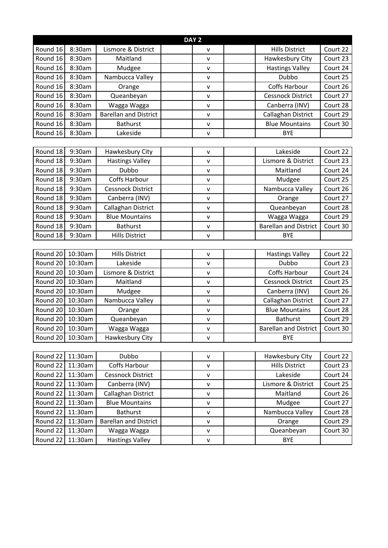| Round 16<br>8:30am<br>Lismore & District<br><b>Hills District</b><br>Court 22<br>v<br>Round 16<br>8:30am<br>Maitland<br>Hawkesbury City<br>Court 23<br>v<br>8:30am<br>Court 24<br>Round 16<br><b>Hastings Valley</b><br>Mudgee<br>v<br>Dubbo<br>Round 16<br>8:30am<br>Nambucca Valley<br>Court 25<br>v<br>8:30am<br>Coffs Harbour<br>Court 26<br>Round 16<br>Orange<br>v |          |
|--------------------------------------------------------------------------------------------------------------------------------------------------------------------------------------------------------------------------------------------------------------------------------------------------------------------------------------------------------------------------|----------|
|                                                                                                                                                                                                                                                                                                                                                                          |          |
|                                                                                                                                                                                                                                                                                                                                                                          |          |
|                                                                                                                                                                                                                                                                                                                                                                          |          |
|                                                                                                                                                                                                                                                                                                                                                                          |          |
|                                                                                                                                                                                                                                                                                                                                                                          |          |
| 8:30am<br>Cessnock District<br>Round 16<br>Queanbeyan<br>V                                                                                                                                                                                                                                                                                                               | Court 27 |
| Round 16<br>8:30am<br>Wagga Wagga<br>Canberra (INV)<br>Court 28<br>v                                                                                                                                                                                                                                                                                                     |          |
| <b>Barellan and District</b><br>Round 16<br>8:30am<br>Callaghan District<br>Court 29<br>$\mathsf{v}$                                                                                                                                                                                                                                                                     |          |
| <b>Blue Mountains</b><br>Round 16<br>8:30am<br><b>Bathurst</b><br>Court 30<br>v                                                                                                                                                                                                                                                                                          |          |
| Round 16<br>8:30am<br>Lakeside<br><b>BYE</b><br>v                                                                                                                                                                                                                                                                                                                        |          |
|                                                                                                                                                                                                                                                                                                                                                                          |          |
| Round 18<br>Court 22<br>9:30am<br>Hawkesbury City<br>Lakeside<br>$\mathsf{V}$                                                                                                                                                                                                                                                                                            |          |
| Round 18<br>9:30am<br>Lismore & District<br>Court 23<br><b>Hastings Valley</b><br>$\mathsf{v}$                                                                                                                                                                                                                                                                           |          |
| Round 18<br>Dubbo<br>9:30am<br>Court 24<br>Maitland<br>v                                                                                                                                                                                                                                                                                                                 |          |
| 9:30am<br>Coffs Harbour<br>Court 25<br>Round 18<br>Mudgee<br>v                                                                                                                                                                                                                                                                                                           |          |
| 9:30am<br>Court 26<br>Round 18<br><b>Cessnock District</b><br>Nambucca Valley<br>v                                                                                                                                                                                                                                                                                       |          |
| Court 27<br>Round 18<br>9:30am<br>Canberra (INV)<br>Orange<br>$\mathsf{v}$                                                                                                                                                                                                                                                                                               |          |
| Round 18<br>9:30am<br>Callaghan District<br>Court 28<br>Queanbeyan<br>v                                                                                                                                                                                                                                                                                                  |          |
| 9:30am<br>Court 29<br>Round 18<br><b>Blue Mountains</b><br>Wagga Wagga<br>v                                                                                                                                                                                                                                                                                              |          |
| <b>Barellan and District</b><br>Round 18<br>9:30am<br><b>Bathurst</b><br>Court 30<br>v                                                                                                                                                                                                                                                                                   |          |
| Round 18<br>9:30am<br><b>Hills District</b><br><b>BYE</b><br>v                                                                                                                                                                                                                                                                                                           |          |
|                                                                                                                                                                                                                                                                                                                                                                          |          |
| 10:30am<br>Court 22<br>Round 20<br><b>Hills District</b><br><b>Hastings Valley</b><br>V                                                                                                                                                                                                                                                                                  |          |
| Round 20<br>10:30am<br>Lakeside<br>Dubbo<br>Court 23<br>v                                                                                                                                                                                                                                                                                                                |          |
| Coffs Harbour<br>Round 20<br>10:30am<br>Lismore & District<br>Court 24<br>٧                                                                                                                                                                                                                                                                                              |          |
| 10:30am<br>Round 20<br>Maitland<br><b>Cessnock District</b><br>Court 25<br>v                                                                                                                                                                                                                                                                                             |          |
| 10:30am<br>Court 26<br>Round 20<br>Canberra (INV)<br>Mudgee<br>v                                                                                                                                                                                                                                                                                                         |          |
| Round 20<br>Nambucca Valley<br>Court 27<br>10:30am<br>Callaghan District<br>v                                                                                                                                                                                                                                                                                            |          |
| 10:30am<br>Court 28<br>Round 20<br><b>Blue Mountains</b><br>Orange<br>V                                                                                                                                                                                                                                                                                                  |          |
| Round 20<br>10:30am<br>Queanbeyan<br>Court 29<br><b>Bathurst</b><br>$\mathsf{v}$                                                                                                                                                                                                                                                                                         |          |
| Round 20<br>10:30am<br>Wagga Wagga<br><b>Barellan and District</b><br>Court 30<br>v                                                                                                                                                                                                                                                                                      |          |
| Round 20<br>10:30am<br>Hawkesbury City<br><b>BYE</b><br>v                                                                                                                                                                                                                                                                                                                |          |
|                                                                                                                                                                                                                                                                                                                                                                          |          |
| Court 22<br>Round 22<br>11:30am<br>Dubbo<br>Hawkesbury City<br>v                                                                                                                                                                                                                                                                                                         |          |
| Round 22<br>11:30am<br>Coffs Harbour<br><b>Hills District</b><br>Court 23<br>v                                                                                                                                                                                                                                                                                           |          |
| Court 24<br>Round 22<br>Cessnock District<br>Lakeside<br>11:30am<br>v                                                                                                                                                                                                                                                                                                    |          |
| Round 22<br>11:30am<br>Lismore & District<br>Court 25<br>Canberra (INV)<br>v                                                                                                                                                                                                                                                                                             |          |
| Callaghan District<br>Court 26<br>Round 22<br>11:30am<br>Maitland<br>v                                                                                                                                                                                                                                                                                                   |          |
| Round 22<br>Court 27<br>11:30am<br><b>Blue Mountains</b><br>Mudgee<br>v                                                                                                                                                                                                                                                                                                  |          |
| Nambucca Valley<br>Round 22<br>11:30am<br><b>Bathurst</b><br>Court 28<br>v                                                                                                                                                                                                                                                                                               |          |
| Court 29<br>Round 22<br>11:30am<br><b>Barellan and District</b><br>Orange<br>v                                                                                                                                                                                                                                                                                           |          |
| Round 22<br>Court 30<br>11:30am<br>Wagga Wagga<br>Queanbeyan<br>V                                                                                                                                                                                                                                                                                                        |          |
| <b>Hastings Valley</b><br>Round 22<br>11:30am<br><b>BYE</b><br>V                                                                                                                                                                                                                                                                                                         |          |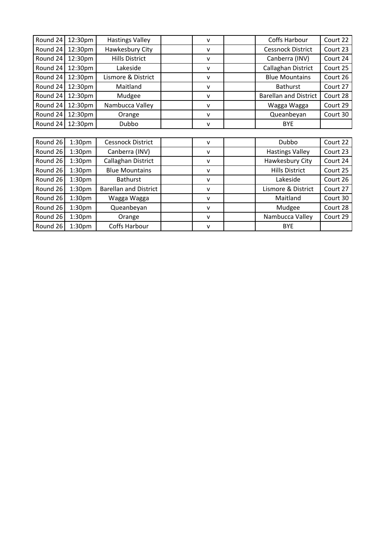| Round 24 | 12:30pm            | <b>Hastings Valley</b>       | v            | Coffs Harbour                | Court 22 |
|----------|--------------------|------------------------------|--------------|------------------------------|----------|
| Round 24 | 12:30pm            | Hawkesbury City              | $\mathsf{v}$ | <b>Cessnock District</b>     | Court 23 |
| Round 24 | 12:30pm            | <b>Hills District</b>        | v            | Canberra (INV)               | Court 24 |
| Round 24 | 12:30pm            | Lakeside                     | v            | Callaghan District           | Court 25 |
| Round 24 | 12:30pm            | Lismore & District           | $\mathsf{v}$ | <b>Blue Mountains</b>        | Court 26 |
| Round 24 | 12:30pm            | Maitland                     | $\mathsf{v}$ | <b>Bathurst</b>              | Court 27 |
| Round 24 | 12:30pm            | Mudgee                       | v            | <b>Barellan and District</b> | Court 28 |
| Round 24 | 12:30pm            | Nambucca Valley              | $\mathsf{v}$ | Wagga Wagga                  | Court 29 |
| Round 24 | 12:30pm            | Orange                       | $\mathsf{v}$ | Queanbeyan                   | Court 30 |
| Round 24 | 12:30pm            | Dubbo                        | $\mathsf{V}$ | <b>BYE</b>                   |          |
|          |                    |                              |              |                              |          |
| Round 26 | 1:30 <sub>pm</sub> | Cessnock District            | $\mathsf{v}$ | Dubbo                        | Court 22 |
| Round 26 | 1:30 <sub>pm</sub> | Canberra (INV)               | $\mathsf{v}$ | <b>Hastings Valley</b>       | Court 23 |
| Round 26 | 1:30 <sub>pm</sub> | Callaghan District           | v            | Hawkesbury City              | Court 24 |
| Round 26 | 1:30 <sub>pm</sub> | <b>Blue Mountains</b>        | v            | <b>Hills District</b>        | Court 25 |
| Round 26 | 1:30 <sub>pm</sub> | <b>Bathurst</b>              | v            | Lakeside                     | Court 26 |
| Round 26 | 1:30 <sub>pm</sub> | <b>Barellan and District</b> | $\mathsf{v}$ | Lismore & District           | Court 27 |
| Round 26 | 1:30 <sub>pm</sub> | Wagga Wagga                  | v            | Maitland                     | Court 30 |
| Round 26 | 1:30pm             | Queanbeyan                   | $\mathsf{v}$ | Mudgee                       | Court 28 |
| Round 26 | 1:30 <sub>pm</sub> | Orange                       | $\mathsf{v}$ | Nambucca Valley              | Court 29 |
| Round 26 | 1:30 <sub>pm</sub> | Coffs Harbour                | v            | <b>BYE</b>                   |          |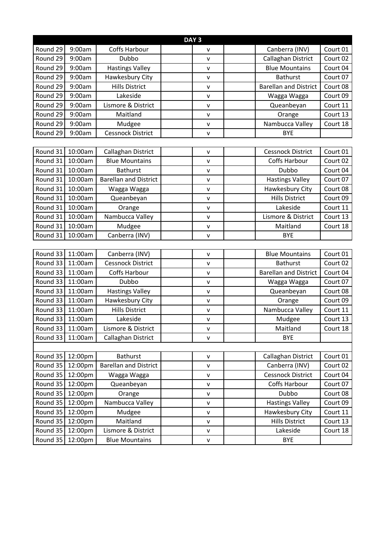| DAY <sub>3</sub> |         |                              |  |              |  |                              |          |
|------------------|---------|------------------------------|--|--------------|--|------------------------------|----------|
| Round 29         | 9:00am  | Coffs Harbour                |  | v            |  | Canberra (INV)               | Court 01 |
| Round 29         | 9:00am  | Dubbo                        |  | ٧            |  | Callaghan District           | Court 02 |
| Round 29         | 9:00am  | <b>Hastings Valley</b>       |  | v            |  | <b>Blue Mountains</b>        | Court 04 |
| Round 29         | 9:00am  | Hawkesbury City              |  | v            |  | <b>Bathurst</b>              | Court 07 |
| Round 29         | 9:00am  | <b>Hills District</b>        |  | v            |  | <b>Barellan and District</b> | Court 08 |
| Round 29         | 9:00am  | Lakeside                     |  | v            |  | Wagga Wagga                  | Court 09 |
| Round 29         | 9:00am  | Lismore & District           |  | $\mathsf{V}$ |  | Queanbeyan                   | Court 11 |
| Round 29         | 9:00am  | Maitland                     |  | $\mathsf{v}$ |  | Orange                       | Court 13 |
| Round 29         | 9:00am  | Mudgee                       |  | v            |  | Nambucca Valley              | Court 18 |
| Round 29         | 9:00am  | <b>Cessnock District</b>     |  | v            |  | <b>BYE</b>                   |          |
|                  |         |                              |  |              |  |                              |          |
| Round 31         | 10:00am | Callaghan District           |  | $\mathsf{V}$ |  | <b>Cessnock District</b>     | Court 01 |
| Round 31         | 10:00am | <b>Blue Mountains</b>        |  | v            |  | Coffs Harbour                | Court 02 |
| Round 31         | 10:00am | <b>Bathurst</b>              |  | v            |  | Dubbo                        | Court 04 |
| Round 31         | 10:00am | <b>Barellan and District</b> |  | v            |  | <b>Hastings Valley</b>       | Court 07 |
| Round 31         | 10:00am | Wagga Wagga                  |  | $\mathsf{v}$ |  | Hawkesbury City              | Court 08 |
| Round 31         | 10:00am | Queanbeyan                   |  | v            |  | <b>Hills District</b>        | Court 09 |
| Round 31         | 10:00am | Orange                       |  | $\mathsf{V}$ |  | Lakeside                     | Court 11 |
| Round 31         | 10:00am | Nambucca Valley              |  | v            |  | Lismore & District           | Court 13 |
| Round 31         | 10:00am | Mudgee                       |  | v            |  | Maitland                     | Court 18 |
| Round 31         | 10:00am | Canberra (INV)               |  | v            |  | <b>BYE</b>                   |          |
|                  |         |                              |  |              |  |                              |          |
| Round 33         | 11:00am | Canberra (INV)               |  | v            |  | <b>Blue Mountains</b>        | Court 01 |
| Round 33         | 11:00am | <b>Cessnock District</b>     |  | v            |  | <b>Bathurst</b>              | Court 02 |
| Round 33         | 11:00am | Coffs Harbour                |  | v            |  | <b>Barellan and District</b> | Court 04 |
| Round 33         | 11:00am | Dubbo                        |  | v            |  | Wagga Wagga                  | Court 07 |
| Round 33         | 11:00am | <b>Hastings Valley</b>       |  | v            |  | Queanbeyan                   | Court 08 |
| Round 33         | 11:00am | Hawkesbury City              |  | $\mathsf{V}$ |  | Orange                       | Court 09 |
| Round 33         | 11:00am | <b>Hills District</b>        |  | $\mathsf{v}$ |  | Nambucca Valley              | Court 11 |
| Round 33         | 11:00am | Lakeside                     |  | v            |  | Mudgee                       | Court 13 |
| Round 33         | 11:00am | Lismore & District           |  | v            |  | Maitland                     | Court 18 |
| Round 33         | 11:00am | Callaghan District           |  | v            |  | <b>BYE</b>                   |          |
|                  |         |                              |  |              |  |                              |          |
| Round 35         | 12:00pm | <b>Bathurst</b>              |  | v            |  | Callaghan District           | Court 01 |
| Round 35         | 12:00pm | <b>Barellan and District</b> |  | V            |  | Canberra (INV)               | Court 02 |
| Round 35         | 12:00pm | Wagga Wagga                  |  | ۷            |  | <b>Cessnock District</b>     | Court 04 |
| Round 35         | 12:00pm | Queanbeyan                   |  | V            |  | Coffs Harbour                | Court 07 |
| Round 35         | 12:00pm | Orange                       |  | v            |  | Dubbo                        | Court 08 |
| Round 35         | 12:00pm | Nambucca Valley              |  | v            |  | <b>Hastings Valley</b>       | Court 09 |
| Round 35         | 12:00pm | Mudgee                       |  | V            |  | Hawkesbury City              | Court 11 |
| Round 35         | 12:00pm | Maitland                     |  | v            |  | <b>Hills District</b>        | Court 13 |
| Round 35         | 12:00pm | Lismore & District           |  | v            |  | Lakeside                     | Court 18 |
| Round 35         | 12:00pm | <b>Blue Mountains</b>        |  | V            |  | <b>BYE</b>                   |          |